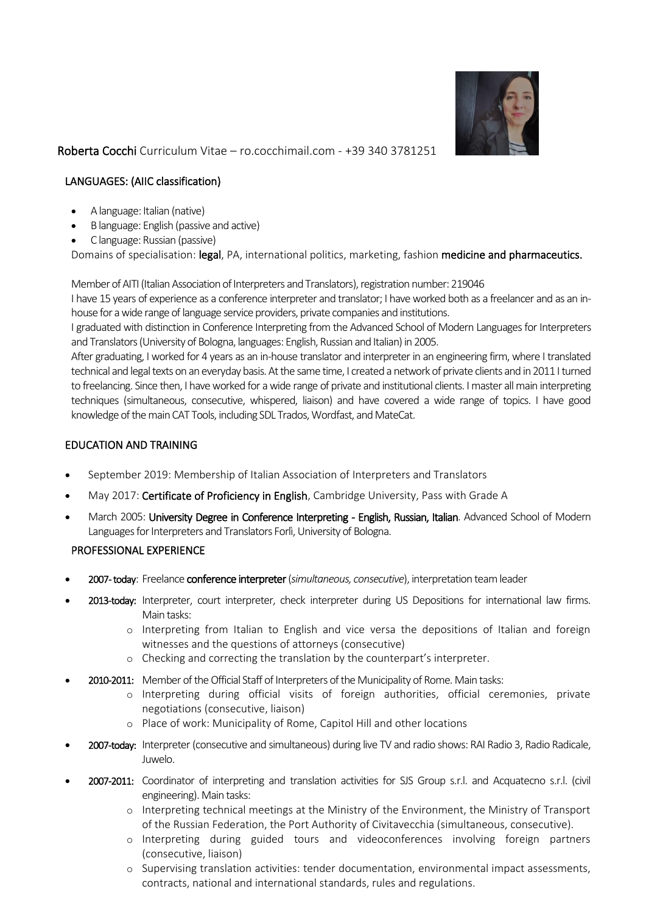

Roberta Cocchi Curriculum Vitae – ro.cocchimail.com - +39 340 3781251

# LANGUAGES: (AIIC classification)

- A language: Italian (native)
- B language: English (passive and active)
- C language: Russian (passive)

Domains of specialisation: legal, PA, international politics, marketing, fashion medicine and pharmaceutics.

Member of AITI (Italian Association of Interpreters and Translators), registration number: 219046

I have 15 years of experience as a conference interpreter and translator; I have worked both as a freelancer and as an inhouse for a wide range of language service providers, private companies and institutions.

I graduated with distinction in Conference Interpreting from the Advanced School of Modern Languages for Interpreters and Translators (University of Bologna, languages: English, Russian and Italian) in 2005.

After graduating, I worked for 4 years as an in-house translator and interpreter in an engineering firm, where I translated technical and legal texts on an everyday basis. At the same time, I created a network of private clients and in 2011 I turned to freelancing. Since then, I have worked for a wide range of private and institutional clients. I master all main interpreting techniques (simultaneous, consecutive, whispered, liaison) and have covered a wide range of topics. I have good knowledge of the main CAT Tools, including SDL Trados, Wordfast, and MateCat.

## EDUCATION AND TRAINING

- September 2019: Membership of Italian Association of Interpreters and Translators
- May 2017: Certificate of Proficiency in English, Cambridge University, Pass with Grade A
- March 2005: University Degree in Conference Interpreting English, Russian, Italian. Advanced School of Modern Languages for Interpreters and Translators Forlì, University of Bologna.

## PROFESSIONAL EXPERIENCE

- 2007- today: Freelance conference interpreter(*simultaneous, consecutive*), interpretation team leader
- 2013-today: Interpreter, court interpreter, check interpreter during US Depositions for international law firms. Main tasks:
	- o Interpreting from Italian to English and vice versa the depositions of Italian and foreign witnesses and the questions of attorneys (consecutive)
	- o Checking and correcting the translation by the counterpart's interpreter.
	- 2010-2011: Member of the Official Staff of Interpreters of the Municipality of Rome. Main tasks:
		- o Interpreting during official visits of foreign authorities, official ceremonies, private negotiations (consecutive, liaison)
		- o Place of work: Municipality of Rome, Capitol Hill and other locations
- 2007-today: Interpreter (consecutive and simultaneous) during live TV and radio shows: RAI Radio 3, Radio Radicale, Juwelo.
- 2007-2011: Coordinator of interpreting and translation activities for SJS Group s.r.l. and Acquatecno s.r.l. (civil engineering). Main tasks:
	- o Interpreting technical meetings at the Ministry of the Environment, the Ministry of Transport of the Russian Federation, the Port Authority of Civitavecchia (simultaneous, consecutive).
	- o Interpreting during guided tours and videoconferences involving foreign partners (consecutive, liaison)
	- o Supervising translation activities: tender documentation, environmental impact assessments, contracts, national and international standards, rules and regulations.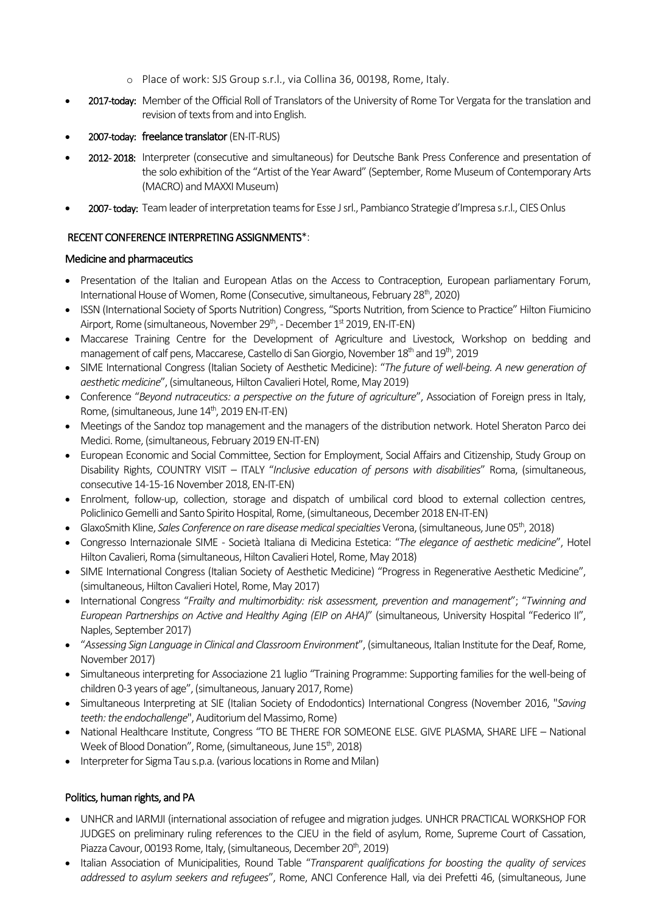- o Place of work: SJS Group s.r.l., via Collina 36, 00198, Rome, Italy.
- 2017-today: Member of the Official Roll of Translators of the University of Rome Tor Vergata for the translation and revision of texts from and into English.
- 2007-today: freelance translator(EN-IT-RUS)
- 2012- 2018: Interpreter (consecutive and simultaneous) for Deutsche Bank Press Conference and presentation of the solo exhibition of the "Artist of the Year Award" (September, Rome Museum of Contemporary Arts (MACRO) and MAXXI Museum)
- 2007- today: Team leader of interpretation teams for Esse J srl., Pambianco Strategie d'Impresa s.r.l., CIES Onlus

## RECENT CONFERENCE INTERPRETING ASSIGNMENTS\*:

#### Medicine and pharmaceutics

- Presentation of the Italian and European Atlas on the Access to Contraception, European parliamentary Forum, International House of Women, Rome (Consecutive, simultaneous, February 28th, 2020)
- ISSN (International Society of Sports Nutrition) Congress, "Sports Nutrition, from Science to Practice" Hilton Fiumicino Airport, Rome (simultaneous, November 29<sup>th</sup>, - December 1<sup>st</sup> 2019, EN-IT-EN)
- Maccarese Training Centre for the Development of Agriculture and Livestock, Workshop on bedding and management of calf pens, Maccarese, Castello di San Giorgio, November 18<sup>th</sup> and 19<sup>th</sup>, 2019
- SIME International Congress (Italian Society of Aesthetic Medicine): "*The future of well-being. A new generation of aesthetic medicine*", (simultaneous, Hilton Cavalieri Hotel, Rome, May 2019)
- Conference "*Beyond nutraceutics: a perspective on the future of agriculture*", Association of Foreign press in Italy, Rome, (simultaneous, June 14<sup>th</sup>, 2019 EN-IT-EN)
- Meetings of the Sandoz top management and the managers of the distribution network. Hotel Sheraton Parco dei Medici. Rome, (simultaneous, February 2019 EN-IT-EN)
- European Economic and Social Committee, Section for Employment, Social Affairs and Citizenship, Study Group on Disability Rights, COUNTRY VISIT – ITALY "*Inclusive education of persons with disabilities*" Roma, (simultaneous, consecutive 14-15-16 November 2018, EN-IT-EN)
- Enrolment, follow-up, collection, storage and dispatch of umbilical cord blood to external collection centres, Policlinico Gemelli and Santo Spirito Hospital, Rome, (simultaneous, December 2018 EN-IT-EN)
- GlaxoSmith Kline, *Sales Conference on rare disease medical specialties* Verona, (simultaneous, June 05th, 2018)
- Congresso Internazionale SIME Società Italiana di Medicina Estetica: "*The elegance of aesthetic medicine*", Hotel Hilton Cavalieri, Roma (simultaneous, Hilton Cavalieri Hotel, Rome, May 2018)
- SIME International Congress (Italian Society of Aesthetic Medicine) "Progress in Regenerative Aesthetic Medicine", (simultaneous, Hilton Cavalieri Hotel, Rome, May 2017)
- International Congress "*Frailty and multimorbidity: risk assessment, prevention and management*"; "*Twinning and European Partnerships on Active and Healthy Aging (EIP on AHA)*" (simultaneous, University Hospital "Federico II", Naples, September 2017)
- "*Assessing Sign Language in Clinical and Classroom Environment*", (simultaneous, Italian Institute for the Deaf, Rome, November 2017)
- Simultaneous interpreting for Associazione 21 luglio "Training Programme: Supporting families for the well-being of children 0-3 years of age", (simultaneous, January 2017, Rome)
- Simultaneous Interpreting at SIE (Italian Society of Endodontics) International Congress (November 2016, "*Saving teeth: the endochallenge*", Auditorium del Massimo, Rome)
- National Healthcare Institute, Congress "TO BE THERE FOR SOMEONE ELSE. GIVE PLASMA, SHARE LIFE National Week of Blood Donation", Rome, (simultaneous, June 15<sup>th</sup>, 2018)
- Interpreter for Sigma Tau s.p.a. (various locations in Rome and Milan)

# Politics, human rights, and PA

- UNHCR and IARMJI (international association of refugee and migration judges. UNHCR PRACTICAL WORKSHOP FOR JUDGES on preliminary ruling references to the CJEU in the field of asylum, Rome, Supreme Court of Cassation, Piazza Cavour, 00193 Rome, Italy, (simultaneous, December 20<sup>th</sup>, 2019)
- Italian Association of Municipalities, Round Table "*Transparent qualifications for boosting the quality of services addressed to asylum seekers and refugees*", Rome, ANCI Conference Hall, via dei Prefetti 46, (simultaneous, June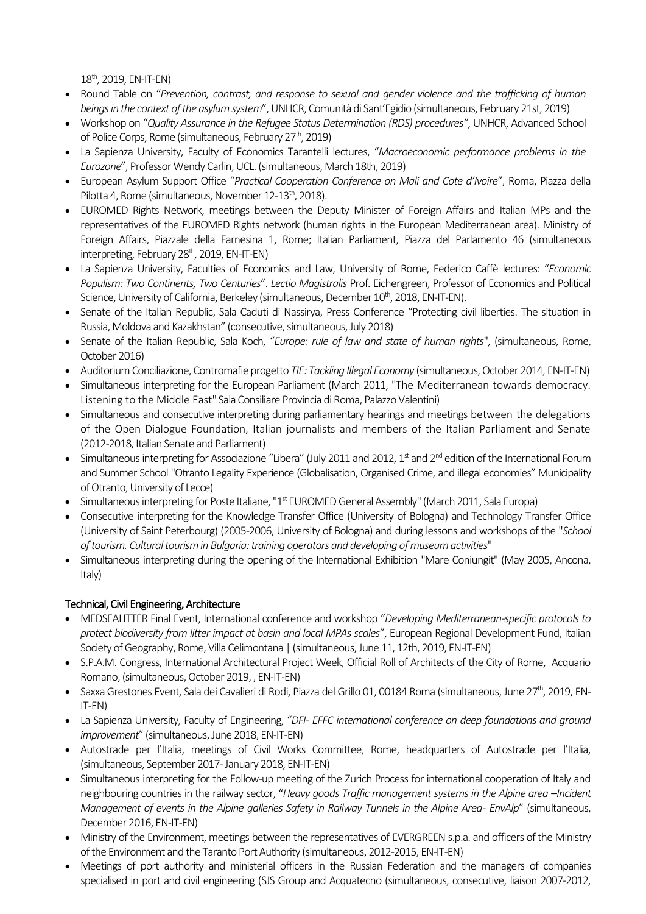$18^{th}$ , 2019, EN-IT-EN)

- Round Table on "*Prevention, contrast, and response to sexual and gender violence and the trafficking of human beings in the context of the asylum system*", UNHCR, Comunità di Sant'Egidio (simultaneous, February 21st, 2019)
- Workshop on "*Quality Assurance in the Refugee Status Determination (RDS) procedures"*, UNHCR, Advanced School of Police Corps, Rome (simultaneous, February 27<sup>th</sup>, 2019)
- La Sapienza University, Faculty of Economics Tarantelli lectures, "*Macroeconomic performance problems in the Eurozone*", Professor Wendy Carlin, UCL. (simultaneous, March 18th, 2019)
- European Asylum Support Office "*Practical Cooperation Conference on Mali and Cote d'Ivoire*", Roma, Piazza della Pilotta 4, Rome (simultaneous, November 12-13<sup>th</sup>, 2018).
- EUROMED Rights Network, meetings between the Deputy Minister of Foreign Affairs and Italian MPs and the representatives of the EUROMED Rights network (human rights in the European Mediterranean area). Ministry of Foreign Affairs, Piazzale della Farnesina 1, Rome; Italian Parliament, Piazza del Parlamento 46 (simultaneous interpreting, February  $28<sup>th</sup>$ , 2019, EN-IT-EN)
- La Sapienza University, Faculties of Economics and Law, University of Rome, Federico Caffè lectures: "*Economic Populism: Two Continents, Two Centuries*". *Lectio Magistralis* Prof. Eichengreen, Professor of Economics and Political Science, University of California, Berkeley (simultaneous, December 10<sup>th</sup>, 2018, EN-IT-EN).
- Senate of the Italian Republic, Sala Caduti di Nassirya, Press Conference "Protecting civil liberties. The situation in Russia, Moldova and Kazakhstan" (consecutive, simultaneous, July 2018)
- Senate of the Italian Republic, Sala Koch, "*Europe: rule of law and state of human rights*", (simultaneous, Rome, October 2016)
- Auditorium Conciliazione, Contromafie progetto *TIE: Tackling Illegal Economy* (simultaneous, October 2014, EN-IT-EN)
- Simultaneous interpreting for the European Parliament (March 2011, "The Mediterranean towards democracy. Listening to the Middle East" Sala Consiliare Provincia di Roma, Palazzo Valentini)
- Simultaneous and consecutive interpreting during parliamentary hearings and meetings between the delegations of the Open Dialogue Foundation, Italian journalists and members of the Italian Parliament and Senate (2012-2018, Italian Senate and Parliament)
- $\bullet$  Simultaneous interpreting for Associazione "Libera" (July 2011 and 2012, 1st and 2<sup>nd</sup> edition of the International Forum and Summer School "Otranto Legality Experience (Globalisation, Organised Crime, and illegal economies" Municipality of Otranto, University of Lecce)
- Simultaneous interpreting for Poste Italiane, " $1<sup>st</sup>$  EUROMED General Assembly" (March 2011, Sala Europa)
- Consecutive interpreting for the Knowledge Transfer Office (University of Bologna) and Technology Transfer Office (University of Saint Peterbourg) (2005-2006, University of Bologna) and during lessons and workshops of the "*School of tourism. Cultural tourism in Bulgaria: training operators and developing of museum activities*"
- Simultaneous interpreting during the opening of the International Exhibition "Mare Coniungit" (May 2005, Ancona, Italy)

# Technical, Civil Engineering, Architecture

- MEDSEALITTER Final Event, International conference and workshop "*Developing Mediterranean-specific protocols to protect biodiversity from litter impact at basin and local MPAs scales*", European Regional Development Fund, Italian Society of Geography, Rome, Villa Celimontana | (simultaneous, June 11, 12th, 2019, EN-IT-EN)
- S.P.A.M. Congress, International Architectural Project Week, Official Roll of Architects of the City of Rome, Acquario Romano, (simultaneous, October 2019, , EN-IT-EN)
- $\bullet$  Saxxa Grestones Event, Sala dei Cavalieri di Rodi, Piazza del Grillo 01, 00184 Roma (simultaneous, June 27 $^{\rm th}$ , 2019, EN-IT-EN)
- La Sapienza University, Faculty of Engineering, "*DFI- EFFC international conference on deep foundations and ground improvement*" (simultaneous, June 2018, EN-IT-EN)
- Autostrade per l'Italia, meetings of Civil Works Committee, Rome, headquarters of Autostrade per l'Italia, (simultaneous, September 2017-January 2018, EN-IT-EN)
- Simultaneous interpreting for the Follow-up meeting of the Zurich Process for international cooperation of Italy and neighbouring countries in the railway sector, "*Heavy goods Traffic management systems in the Alpine area –Incident Management of events in the Alpine galleries Safety in Railway Tunnels in the Alpine Area- EnvAlp*" (simultaneous, December 2016, EN-IT-EN)
- Ministry of the Environment, meetings between the representatives of EVERGREEN s.p.a. and officers of the Ministry of the Environment and the Taranto Port Authority (simultaneous, 2012-2015, EN-IT-EN)
- Meetings of port authority and ministerial officers in the Russian Federation and the managers of companies specialised in port and civil engineering (SJS Group and Acquatecno (simultaneous, consecutive, liaison 2007-2012,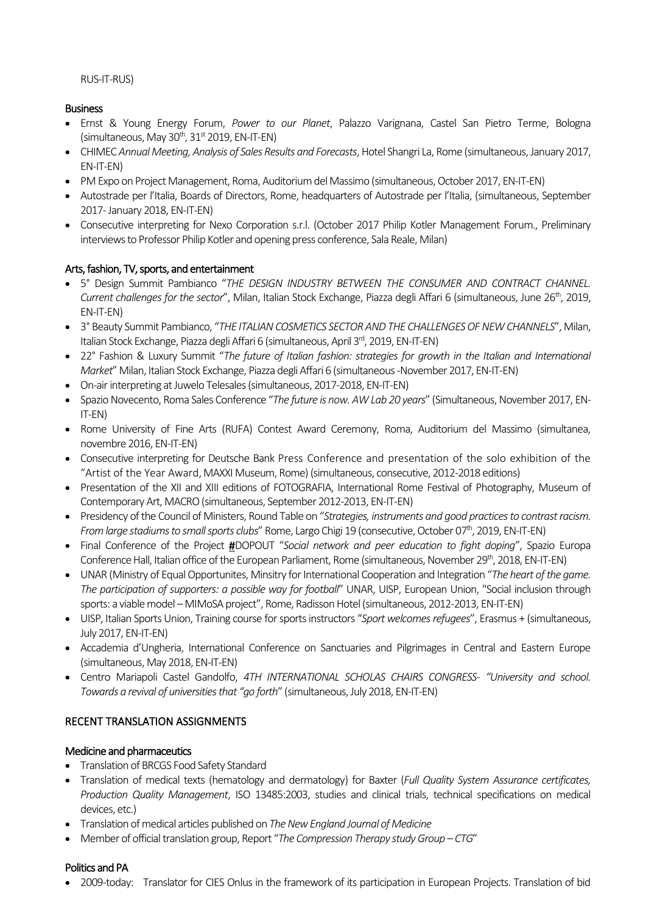#### RUS-IT-RUS)

## Business

- Ernst & Young Energy Forum, *Power to our Planet*, Palazzo Varignana, Castel San Pietro Terme, Bologna  $(\text{simultaneous}, \text{May } 30^{\text{th}}, 31^{\text{st}} \text{ } 2019, \text{ EN-IT-EN})$
- CHIMEC *Annual Meeting, Analysis of Sales Results and Forecasts*, Hotel Shangri La, Rome (simultaneous, January 2017, EN-IT-EN)
- PM Expo on Project Management, Roma, Auditorium del Massimo (simultaneous, October 2017, EN-IT-EN)
- Autostrade per l'Italia, Boards of Directors, Rome, headquarters of Autostrade per l'Italia, (simultaneous, September 2017-January 2018, EN-IT-EN)
- Consecutive interpreting for Nexo Corporation s.r.l. (October 2017 Philip Kotler Management Forum., Preliminary interviews to Professor Philip Kotler and opening press conference, Sala Reale, Milan)

## Arts, fashion, TV, sports, and entertainment

- 5° Design Summit Pambianco "*THE DESIGN INDUSTRY BETWEEN THE CONSUMER AND CONTRACT CHANNEL.*  Current challenges for the sector", Milan, Italian Stock Exchange, Piazza degli Affari 6 (simultaneous, June 26<sup>th</sup>, 2019, EN-IT-EN)
- 3° Beauty Summit Pambianco, "*THE ITALIAN COSMETICS SECTOR AND THE CHALLENGES OF NEW CHANNELS*", Milan, Italian Stock Exchange, Piazza degli Affari 6 (simultaneous, April 3<sup>rd</sup>, 2019, EN-IT-EN)
- 22° Fashion & Luxury Summit "*The future of Italian fashion: strategies for growth in the Italian and International Market*" Milan, Italian Stock Exchange, Piazza degli Affari 6 (simultaneous-November 2017, EN-IT-EN)
- On-air interpreting at Juwelo Telesales (simultaneous, 2017-2018, EN-IT-EN)
- Spazio Novecento, Roma Sales Conference "*The future is now. AW Lab 20 years*" (Simultaneous, November 2017, EN-IT-EN)
- Rome University of Fine Arts (RUFA) Contest Award Ceremony, Roma, Auditorium del Massimo (simultanea, novembre 2016, EN-IT-EN)
- Consecutive interpreting for Deutsche Bank Press Conference and presentation of the solo exhibition of the "Artist of the Year Award, MAXXI Museum, Rome) (simultaneous, consecutive, 2012-2018 editions)
- Presentation of the XII and XIII editions of FOTOGRAFIA, International Rome Festival of Photography, Museum of Contemporary Art, MACRO (simultaneous, September 2012-2013, EN-IT-EN)
- Presidency of the Council of Ministers, Round Table on "*Strategies, instruments and good practices to contrast racism. From large stadiums to small sports clubs*" Rome, Largo Chigi 19 (consecutive, October 07<sup>th</sup>, 2019, EN-IT-EN)
- Final Conference of the Project #DOPOUT "*Social network and peer education to fight doping*", Spazio Europa Conference Hall, Italian office of the European Parliament, Rome (simultaneous, November 29<sup>th</sup>, 2018, EN-IT-EN)
- UNAR (Ministry of Equal Opportunites, Minsitry for International Cooperation and Integration "*The heart of the game. The participation of supporters: a possible way for football*" UNAR, UISP, European Union, "Social inclusion through sports: a viable model – MIMoSA project", Rome, Radisson Hotel (simultaneous, 2012-2013, EN-IT-EN)
- UISP, Italian Sports Union, Training course for sports instructors "*Sport welcomes refugees*", Erasmus + (simultaneous, July 2017, EN-IT-EN)
- Accademia d'Ungheria, International Conference on Sanctuaries and Pilgrimages in Central and Eastern Europe (simultaneous, May 2018, EN-IT-EN)
- Centro Mariapoli Castel Gandolfo, *4TH INTERNATIONAL SCHOLAS CHAIRS CONGRESS- "University and school. Towards a revival of universities that "go forth*" (simultaneous, July 2018, EN-IT-EN)

## RECENT TRANSLATION ASSIGNMENTS

#### Medicine and pharmaceutics

- Translation of BRCGS Food Safety Standard
- Translation of medical texts (hematology and dermatology) for Baxter (*Full Quality System Assurance certificates, Production Quality Management*, ISO 13485:2003, studies and clinical trials, technical specifications on medical devices, etc.)
- Translation of medical articles published on *The New England Journal of Medicine*
- Member of official translation group, Report "*The Compression Therapy study Group – CTG*"

## Politics and PA

• 2009-today: Translator for CIES Onlus in the framework of its participation in European Projects. Translation of bid